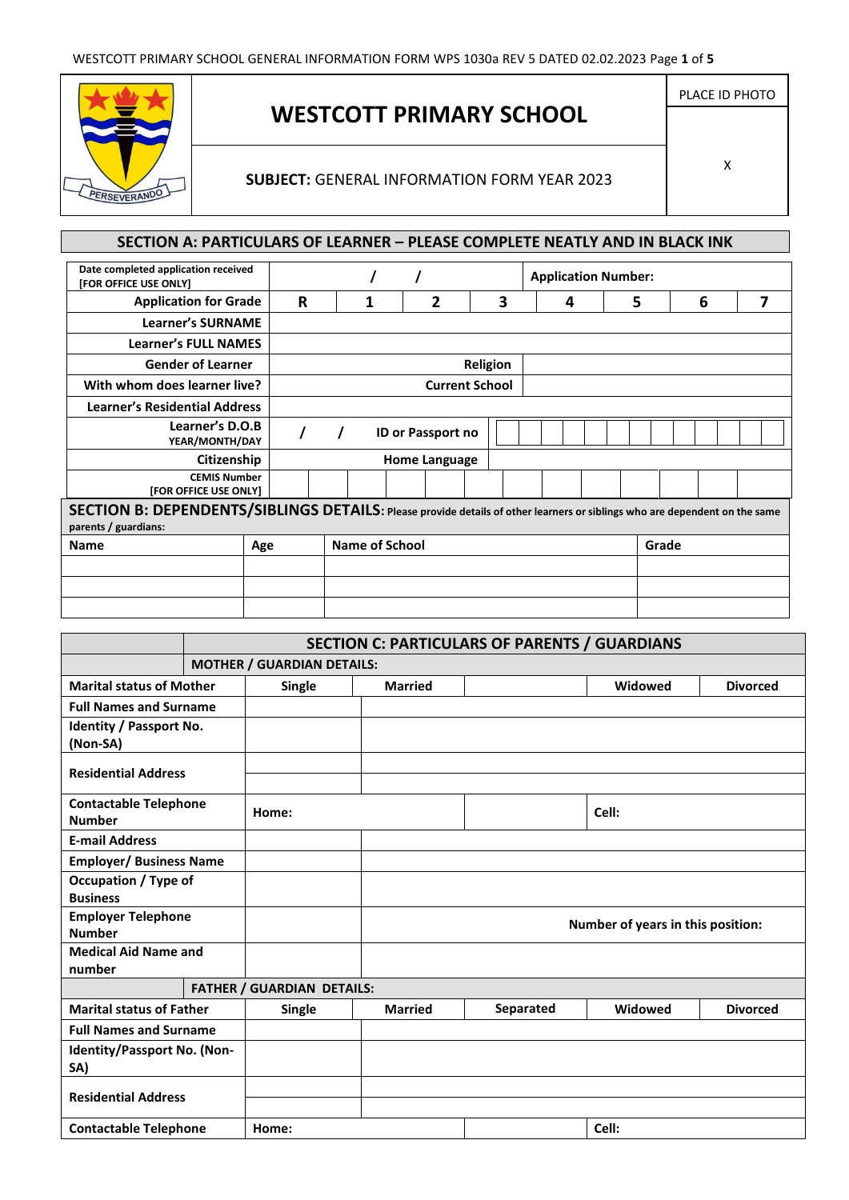

# **WESTCOTT PRIMARY SCHOOL**

## **SUBJECT:** GENERAL INFORMATION FORM YEAR 2023

## **SECTION A: PARTICULARS OF LEARNER – PLEASE COMPLETE NEATLY AND IN BLACK INK**

| Date completed application received<br>[FOR OFFICE USE ONLY]                                                                                       |     |                       |                       |                 | <b>Application Number:</b> |   |       |   |
|----------------------------------------------------------------------------------------------------------------------------------------------------|-----|-----------------------|-----------------------|-----------------|----------------------------|---|-------|---|
| <b>Application for Grade</b>                                                                                                                       | R   |                       | 2                     | 3               | 4                          | 5 | 6     | 7 |
| <b>Learner's SURNAME</b>                                                                                                                           |     |                       |                       |                 |                            |   |       |   |
| <b>Learner's FULL NAMES</b>                                                                                                                        |     |                       |                       |                 |                            |   |       |   |
| <b>Gender of Learner</b>                                                                                                                           |     |                       |                       | <b>Religion</b> |                            |   |       |   |
| With whom does learner live?                                                                                                                       |     |                       | <b>Current School</b> |                 |                            |   |       |   |
| <b>Learner's Residential Address</b>                                                                                                               |     |                       |                       |                 |                            |   |       |   |
| Learner's D.O.B<br>YEAR/MONTH/DAY                                                                                                                  |     |                       | ID or Passport no     |                 |                            |   |       |   |
| Citizenship                                                                                                                                        |     |                       | Home Language         |                 |                            |   |       |   |
| <b>CEMIS Number</b><br>[FOR OFFICE USE ONLY]                                                                                                       |     |                       |                       |                 |                            |   |       |   |
| SECTION B: DEPENDENTS/SIBLINGS DETAILS: Please provide details of other learners or siblings who are dependent on the same<br>parents / guardians: |     |                       |                       |                 |                            |   |       |   |
| <b>Name</b>                                                                                                                                        | Age | <b>Name of School</b> |                       |                 |                            |   | Grade |   |
|                                                                                                                                                    |     |                       |                       |                 |                            |   |       |   |
|                                                                                                                                                    |     |                       |                       |                 |                            |   |       |   |
|                                                                                                                                                    |     |                       |                       |                 |                            |   |       |   |

|                                               | <b>SECTION C: PARTICULARS OF PARENTS / GUARDIANS</b> |                                   |                |                                   |         |                 |  |  |
|-----------------------------------------------|------------------------------------------------------|-----------------------------------|----------------|-----------------------------------|---------|-----------------|--|--|
|                                               |                                                      | <b>MOTHER / GUARDIAN DETAILS:</b> |                |                                   |         |                 |  |  |
| <b>Marital status of Mother</b>               |                                                      | Single                            | <b>Married</b> |                                   | Widowed | <b>Divorced</b> |  |  |
| <b>Full Names and Surname</b>                 |                                                      |                                   |                |                                   |         |                 |  |  |
| Identity / Passport No.<br>(Non-SA)           |                                                      |                                   |                |                                   |         |                 |  |  |
| <b>Residential Address</b>                    |                                                      |                                   |                |                                   |         |                 |  |  |
| <b>Contactable Telephone</b><br><b>Number</b> |                                                      | Home:                             |                |                                   | Cell:   |                 |  |  |
| <b>E-mail Address</b>                         |                                                      |                                   |                |                                   |         |                 |  |  |
| <b>Employer/ Business Name</b>                |                                                      |                                   |                |                                   |         |                 |  |  |
| <b>Occupation / Type of</b>                   |                                                      |                                   |                |                                   |         |                 |  |  |
| <b>Business</b>                               |                                                      |                                   |                |                                   |         |                 |  |  |
| <b>Employer Telephone</b><br><b>Number</b>    |                                                      |                                   |                | Number of years in this position: |         |                 |  |  |
| <b>Medical Aid Name and</b>                   |                                                      |                                   |                |                                   |         |                 |  |  |
| number                                        |                                                      |                                   |                |                                   |         |                 |  |  |
|                                               |                                                      | <b>FATHER / GUARDIAN DETAILS:</b> |                |                                   |         |                 |  |  |
| <b>Marital status of Father</b>               |                                                      | Single                            | <b>Married</b> | Separated                         | Widowed | <b>Divorced</b> |  |  |
| <b>Full Names and Surname</b>                 |                                                      |                                   |                |                                   |         |                 |  |  |
| Identity/Passport No. (Non-<br>SA)            |                                                      |                                   |                |                                   |         |                 |  |  |
| <b>Residential Address</b>                    |                                                      |                                   |                |                                   |         |                 |  |  |
| <b>Contactable Telephone</b>                  |                                                      | Home:                             |                |                                   | Cell:   |                 |  |  |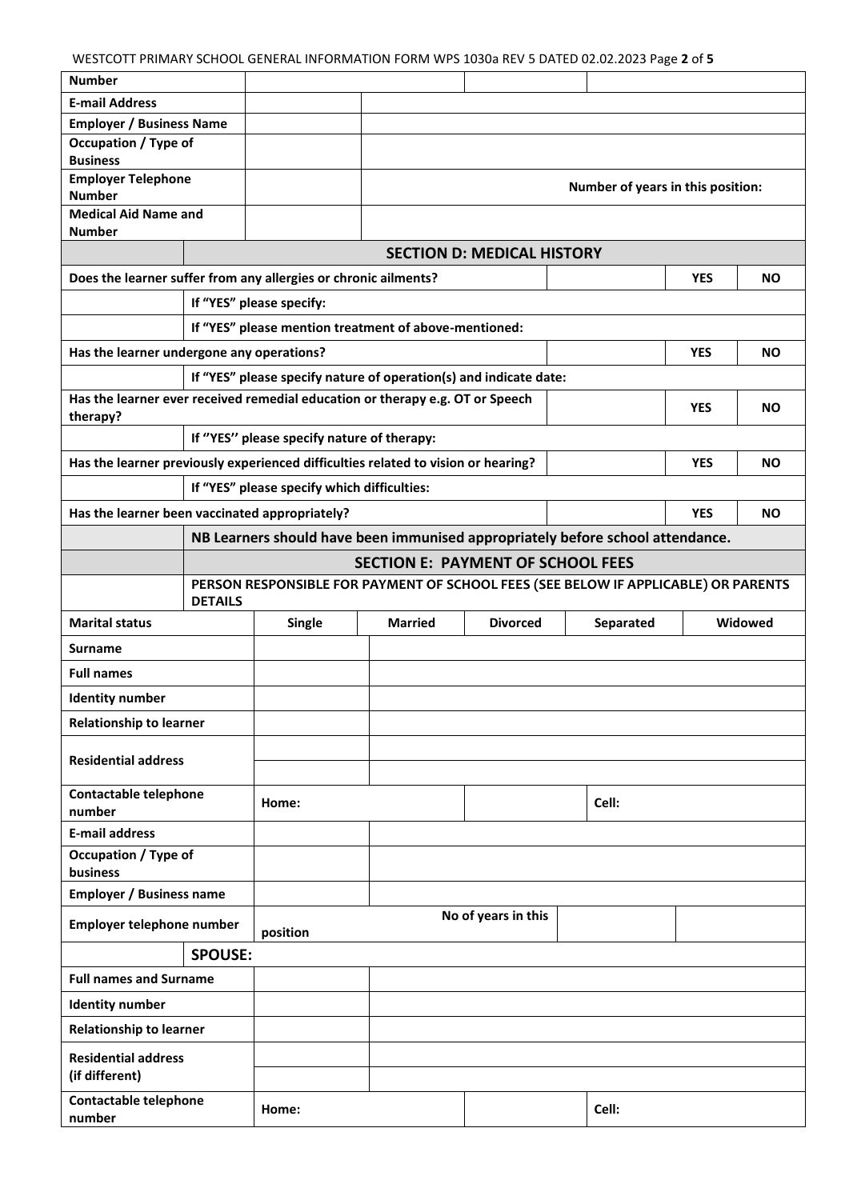WESTCOTT PRIMARY SCHOOL GENERAL INFORMATION FORM WPS 1030a REV 5 DATED 02.02.2023 Page **2** of **5**

| <b>Number</b>                                                                             |                                                          |                                                                                    |                                                                                |                                   |                                   |            |           |
|-------------------------------------------------------------------------------------------|----------------------------------------------------------|------------------------------------------------------------------------------------|--------------------------------------------------------------------------------|-----------------------------------|-----------------------------------|------------|-----------|
| <b>E-mail Address</b>                                                                     |                                                          |                                                                                    |                                                                                |                                   |                                   |            |           |
| <b>Employer / Business Name</b>                                                           |                                                          |                                                                                    |                                                                                |                                   |                                   |            |           |
| Occupation / Type of                                                                      |                                                          |                                                                                    |                                                                                |                                   |                                   |            |           |
| <b>Business</b>                                                                           |                                                          |                                                                                    |                                                                                |                                   |                                   |            |           |
| <b>Employer Telephone</b><br><b>Number</b>                                                |                                                          |                                                                                    |                                                                                |                                   | Number of years in this position: |            |           |
| <b>Medical Aid Name and</b>                                                               |                                                          |                                                                                    |                                                                                |                                   |                                   |            |           |
| <b>Number</b>                                                                             |                                                          |                                                                                    |                                                                                |                                   |                                   |            |           |
|                                                                                           |                                                          |                                                                                    |                                                                                | <b>SECTION D: MEDICAL HISTORY</b> |                                   |            |           |
| Does the learner suffer from any allergies or chronic ailments?                           |                                                          |                                                                                    |                                                                                |                                   |                                   | <b>YES</b> | NO.       |
|                                                                                           |                                                          | If "YES" please specify:                                                           |                                                                                |                                   |                                   |            |           |
|                                                                                           |                                                          | If "YES" please mention treatment of above-mentioned:                              |                                                                                |                                   |                                   |            |           |
| Has the learner undergone any operations?                                                 |                                                          |                                                                                    |                                                                                |                                   |                                   | <b>YES</b> | ΝO        |
|                                                                                           |                                                          | If "YES" please specify nature of operation(s) and indicate date:                  |                                                                                |                                   |                                   |            |           |
| Has the learner ever received remedial education or therapy e.g. OT or Speech<br>therapy? |                                                          |                                                                                    |                                                                                |                                   |                                   | <b>YES</b> | ΝO        |
|                                                                                           |                                                          | If "YES" please specify nature of therapy:                                         |                                                                                |                                   |                                   |            |           |
| Has the learner previously experienced difficulties related to vision or hearing?         |                                                          |                                                                                    |                                                                                |                                   |                                   | <b>YES</b> | NO.       |
|                                                                                           |                                                          | If "YES" please specify which difficulties:                                        |                                                                                |                                   |                                   |            |           |
| Has the learner been vaccinated appropriately?                                            |                                                          |                                                                                    |                                                                                |                                   |                                   | <b>YES</b> | <b>NO</b> |
|                                                                                           |                                                          |                                                                                    | NB Learners should have been immunised appropriately before school attendance. |                                   |                                   |            |           |
|                                                                                           |                                                          |                                                                                    | <b>SECTION E: PAYMENT OF SCHOOL FEES</b>                                       |                                   |                                   |            |           |
|                                                                                           | <b>DETAILS</b>                                           | PERSON RESPONSIBLE FOR PAYMENT OF SCHOOL FEES (SEE BELOW IF APPLICABLE) OR PARENTS |                                                                                |                                   |                                   |            |           |
| <b>Marital status</b>                                                                     | Single<br><b>Married</b><br>Separated<br><b>Divorced</b> |                                                                                    |                                                                                |                                   |                                   | Widowed    |           |
| <b>Surname</b>                                                                            |                                                          |                                                                                    |                                                                                |                                   |                                   |            |           |
| <b>Full names</b>                                                                         |                                                          |                                                                                    |                                                                                |                                   |                                   |            |           |
| <b>Identity number</b>                                                                    |                                                          |                                                                                    |                                                                                |                                   |                                   |            |           |
| <b>Relationship to learner</b>                                                            |                                                          |                                                                                    |                                                                                |                                   |                                   |            |           |
| <b>Residential address</b>                                                                |                                                          |                                                                                    |                                                                                |                                   |                                   |            |           |
| <b>Contactable telephone</b><br>number                                                    |                                                          | Home:                                                                              |                                                                                | Cell:                             |                                   |            |           |
| <b>E-mail address</b>                                                                     |                                                          |                                                                                    |                                                                                |                                   |                                   |            |           |
| Occupation / Type of<br>business                                                          |                                                          |                                                                                    |                                                                                |                                   |                                   |            |           |
| <b>Employer / Business name</b>                                                           |                                                          |                                                                                    |                                                                                |                                   |                                   |            |           |
| Employer telephone number                                                                 |                                                          | No of years in this<br>position                                                    |                                                                                |                                   |                                   |            |           |
|                                                                                           | <b>SPOUSE:</b>                                           |                                                                                    |                                                                                |                                   |                                   |            |           |
|                                                                                           | <b>Full names and Surname</b>                            |                                                                                    |                                                                                |                                   |                                   |            |           |
| <b>Identity number</b>                                                                    |                                                          |                                                                                    |                                                                                |                                   |                                   |            |           |
| <b>Relationship to learner</b>                                                            |                                                          |                                                                                    |                                                                                |                                   |                                   |            |           |
| <b>Residential address</b><br>(if different)                                              |                                                          |                                                                                    |                                                                                |                                   |                                   |            |           |
| <b>Contactable telephone</b><br>number                                                    |                                                          | Cell:<br>Home:                                                                     |                                                                                |                                   |                                   |            |           |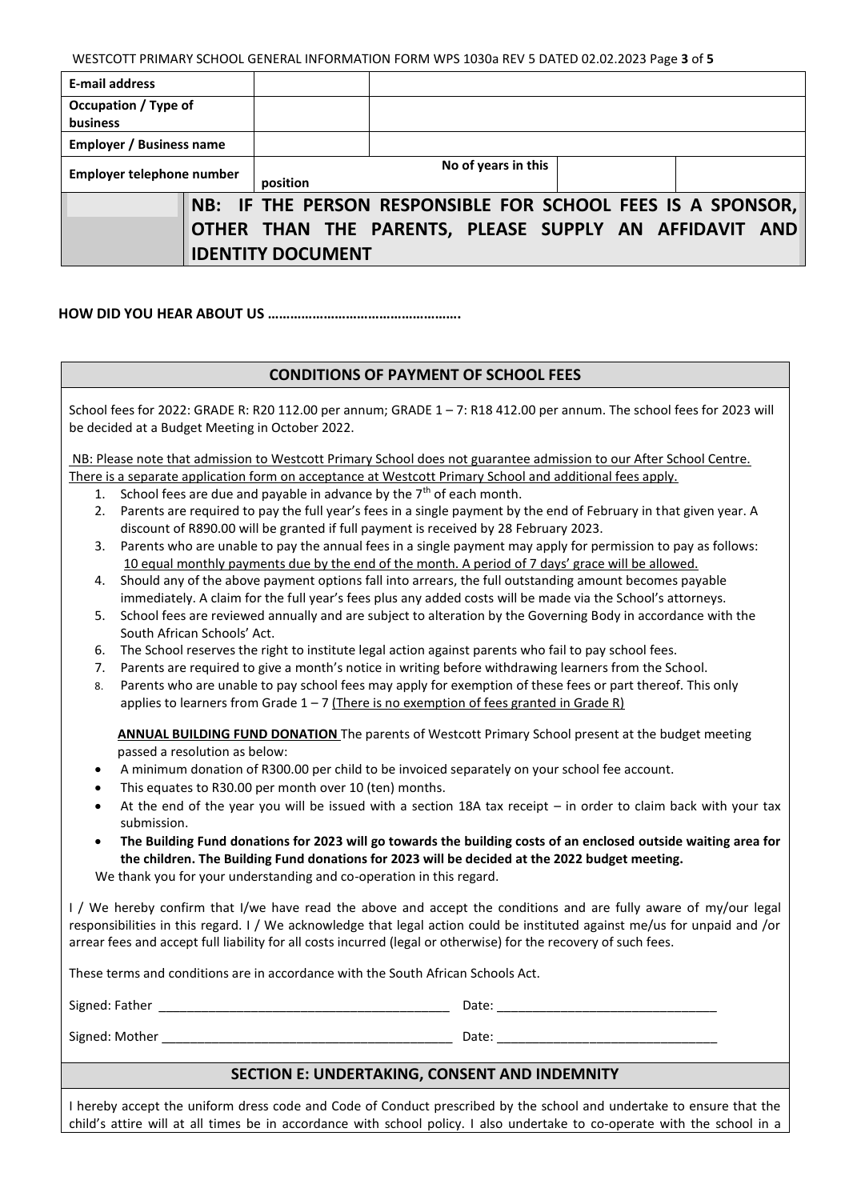WESTCOTT PRIMARY SCHOOL GENERAL INFORMATION FORM WPS 1030a REV 5 DATED 02.02.2023 Page **3** of **5**

| <b>E-mail address</b>            |  |                          |                                                             |  |  |  |
|----------------------------------|--|--------------------------|-------------------------------------------------------------|--|--|--|
| Occupation / Type of<br>business |  |                          |                                                             |  |  |  |
| <b>Employer / Business name</b>  |  |                          |                                                             |  |  |  |
| Employer telephone number        |  | position                 | No of years in this                                         |  |  |  |
|                                  |  |                          | NB: IF THE PERSON RESPONSIBLE FOR SCHOOL FEES IS A SPONSOR, |  |  |  |
|                                  |  | <b>IDENTITY DOCUMENT</b> | OTHER THAN THE PARENTS, PLEASE SUPPLY AN AFFIDAVIT AND      |  |  |  |
|                                  |  |                          |                                                             |  |  |  |

 **HOW DID YOU HEAR ABOUT US …………………………………………….** 

### **CONDITIONS OF PAYMENT OF SCHOOL FEES**

| School fees for 2022: GRADE R: R20 112.00 per annum; GRADE 1 - 7: R18 412.00 per annum. The school fees for 2023 will<br>be decided at a Budget Meeting in October 2022.                                                                                                                                                                                                                                                                                                |  |  |  |  |  |
|-------------------------------------------------------------------------------------------------------------------------------------------------------------------------------------------------------------------------------------------------------------------------------------------------------------------------------------------------------------------------------------------------------------------------------------------------------------------------|--|--|--|--|--|
| NB: Please note that admission to Westcott Primary School does not guarantee admission to our After School Centre.                                                                                                                                                                                                                                                                                                                                                      |  |  |  |  |  |
| There is a separate application form on acceptance at Westcott Primary School and additional fees apply.                                                                                                                                                                                                                                                                                                                                                                |  |  |  |  |  |
| School fees are due and payable in advance by the 7 <sup>th</sup> of each month.<br>1.                                                                                                                                                                                                                                                                                                                                                                                  |  |  |  |  |  |
| Parents are required to pay the full year's fees in a single payment by the end of February in that given year. A<br>2.<br>discount of R890.00 will be granted if full payment is received by 28 February 2023.                                                                                                                                                                                                                                                         |  |  |  |  |  |
| Parents who are unable to pay the annual fees in a single payment may apply for permission to pay as follows:<br>3.                                                                                                                                                                                                                                                                                                                                                     |  |  |  |  |  |
| 10 equal monthly payments due by the end of the month. A period of 7 days' grace will be allowed.                                                                                                                                                                                                                                                                                                                                                                       |  |  |  |  |  |
| Should any of the above payment options fall into arrears, the full outstanding amount becomes payable<br>4.<br>immediately. A claim for the full year's fees plus any added costs will be made via the School's attorneys.                                                                                                                                                                                                                                             |  |  |  |  |  |
|                                                                                                                                                                                                                                                                                                                                                                                                                                                                         |  |  |  |  |  |
| School fees are reviewed annually and are subject to alteration by the Governing Body in accordance with the<br>5.                                                                                                                                                                                                                                                                                                                                                      |  |  |  |  |  |
| South African Schools' Act.                                                                                                                                                                                                                                                                                                                                                                                                                                             |  |  |  |  |  |
| The School reserves the right to institute legal action against parents who fail to pay school fees.<br>6.                                                                                                                                                                                                                                                                                                                                                              |  |  |  |  |  |
| Parents are required to give a month's notice in writing before withdrawing learners from the School.<br>7.                                                                                                                                                                                                                                                                                                                                                             |  |  |  |  |  |
| Parents who are unable to pay school fees may apply for exemption of these fees or part thereof. This only<br>8.                                                                                                                                                                                                                                                                                                                                                        |  |  |  |  |  |
| applies to learners from Grade $1 - 7$ (There is no exemption of fees granted in Grade R)                                                                                                                                                                                                                                                                                                                                                                               |  |  |  |  |  |
| ANNUAL BUILDING FUND DONATION The parents of Westcott Primary School present at the budget meeting<br>passed a resolution as below:<br>A minimum donation of R300.00 per child to be invoiced separately on your school fee account.<br>$\bullet$<br>This equates to R30.00 per month over 10 (ten) months.<br>$\bullet$<br>At the end of the year you will be issued with a section 18A tax receipt - in order to claim back with your tax<br>$\bullet$<br>submission. |  |  |  |  |  |
| The Building Fund donations for 2023 will go towards the building costs of an enclosed outside waiting area for<br>$\bullet$                                                                                                                                                                                                                                                                                                                                            |  |  |  |  |  |
| the children. The Building Fund donations for 2023 will be decided at the 2022 budget meeting.                                                                                                                                                                                                                                                                                                                                                                          |  |  |  |  |  |
| We thank you for your understanding and co-operation in this regard.                                                                                                                                                                                                                                                                                                                                                                                                    |  |  |  |  |  |
| I / We hereby confirm that I/we have read the above and accept the conditions and are fully aware of my/our legal<br>responsibilities in this regard. I / We acknowledge that legal action could be instituted against me/us for unpaid and /or<br>arrear fees and accept full liability for all costs incurred (legal or otherwise) for the recovery of such fees.                                                                                                     |  |  |  |  |  |
| These terms and conditions are in accordance with the South African Schools Act.                                                                                                                                                                                                                                                                                                                                                                                        |  |  |  |  |  |
|                                                                                                                                                                                                                                                                                                                                                                                                                                                                         |  |  |  |  |  |
|                                                                                                                                                                                                                                                                                                                                                                                                                                                                         |  |  |  |  |  |
| SECTION E: UNDERTAKING, CONSENT AND INDEMNITY                                                                                                                                                                                                                                                                                                                                                                                                                           |  |  |  |  |  |
|                                                                                                                                                                                                                                                                                                                                                                                                                                                                         |  |  |  |  |  |

I hereby accept the uniform dress code and Code of Conduct prescribed by the school and undertake to ensure that the child's attire will at all times be in accordance with school policy. I also undertake to co-operate with the school in a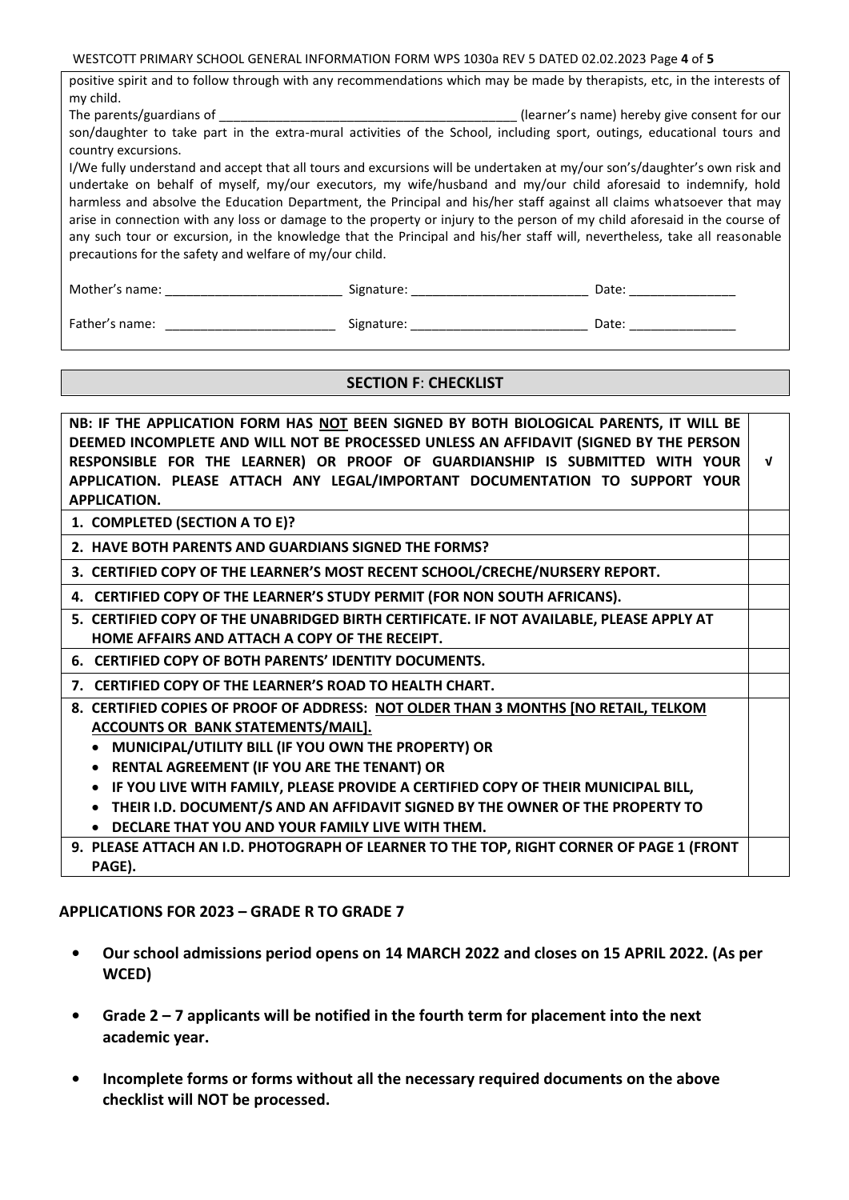WESTCOTT PRIMARY SCHOOL GENERAL INFORMATION FORM WPS 1030a REV 5 DATED 02.02.2023 Page **4** of **5**

| positive spirit and to follow through with any recommendations which may be made by therapists, etc, in the interests of                                                                                                                                                                                                                                                                                                                                                                                                                                                                                                                                                                   |  |              |  |  |  |  |  |
|--------------------------------------------------------------------------------------------------------------------------------------------------------------------------------------------------------------------------------------------------------------------------------------------------------------------------------------------------------------------------------------------------------------------------------------------------------------------------------------------------------------------------------------------------------------------------------------------------------------------------------------------------------------------------------------------|--|--------------|--|--|--|--|--|
| my child.                                                                                                                                                                                                                                                                                                                                                                                                                                                                                                                                                                                                                                                                                  |  |              |  |  |  |  |  |
|                                                                                                                                                                                                                                                                                                                                                                                                                                                                                                                                                                                                                                                                                            |  |              |  |  |  |  |  |
| son/daughter to take part in the extra-mural activities of the School, including sport, outings, educational tours and<br>country excursions.                                                                                                                                                                                                                                                                                                                                                                                                                                                                                                                                              |  |              |  |  |  |  |  |
| I/We fully understand and accept that all tours and excursions will be undertaken at my/our son's/daughter's own risk and<br>undertake on behalf of myself, my/our executors, my wife/husband and my/our child aforesaid to indemnify, hold<br>harmless and absolve the Education Department, the Principal and his/her staff against all claims whatsoever that may<br>arise in connection with any loss or damage to the property or injury to the person of my child aforesaid in the course of<br>any such tour or excursion, in the knowledge that the Principal and his/her staff will, nevertheless, take all reasonable<br>precautions for the safety and welfare of my/our child. |  |              |  |  |  |  |  |
|                                                                                                                                                                                                                                                                                                                                                                                                                                                                                                                                                                                                                                                                                            |  | Date: $\_\_$ |  |  |  |  |  |
|                                                                                                                                                                                                                                                                                                                                                                                                                                                                                                                                                                                                                                                                                            |  | Date:        |  |  |  |  |  |

## **SECTION F**: **CHECKLIST**

**NB: IF THE APPLICATION FORM HAS NOT BEEN SIGNED BY BOTH BIOLOGICAL PARENTS, IT WILL BE DEEMED INCOMPLETE AND WILL NOT BE PROCESSED UNLESS AN AFFIDAVIT (SIGNED BY THE PERSON RESPONSIBLE FOR THE LEARNER) OR PROOF OF GUARDIANSHIP IS SUBMITTED WITH YOUR APPLICATION. PLEASE ATTACH ANY LEGAL/IMPORTANT DOCUMENTATION TO SUPPORT YOUR APPLICATION. √**

- **1. COMPLETED (SECTION A TO E)?**
- **2. HAVE BOTH PARENTS AND GUARDIANS SIGNED THE FORMS?**
- **3. CERTIFIED COPY OF THE LEARNER'S MOST RECENT SCHOOL/CRECHE/NURSERY REPORT.**
- **4. CERTIFIED COPY OF THE LEARNER'S STUDY PERMIT (FOR NON SOUTH AFRICANS).**
- **5. CERTIFIED COPY OF THE UNABRIDGED BIRTH CERTIFICATE. IF NOT AVAILABLE, PLEASE APPLY AT HOME AFFAIRS AND ATTACH A COPY OF THE RECEIPT.**
- **6. CERTIFIED COPY OF BOTH PARENTS' IDENTITY DOCUMENTS.**

**7. CERTIFIED COPY OF THE LEARNER'S ROAD TO HEALTH CHART.**

- **8. CERTIFIED COPIES OF PROOF OF ADDRESS: NOT OLDER THAN 3 MONTHS [NO RETAIL, TELKOM ACCOUNTS OR BANK STATEMENTS/MAIL].** 
	- **MUNICIPAL/UTILITY BILL (IF YOU OWN THE PROPERTY) OR**
	- **RENTAL AGREEMENT (IF YOU ARE THE TENANT) OR**
	- **IF YOU LIVE WITH FAMILY, PLEASE PROVIDE A CERTIFIED COPY OF THEIR MUNICIPAL BILL,**
	- **THEIR I.D. DOCUMENT/S AND AN AFFIDAVIT SIGNED BY THE OWNER OF THE PROPERTY TO DECLARE THAT YOU AND YOUR FAMILY LIVE WITH THEM.**
- **9. PLEASE ATTACH AN I.D. PHOTOGRAPH OF LEARNER TO THE TOP, RIGHT CORNER OF PAGE 1 (FRONT PAGE).**

### **APPLICATIONS FOR 2023 – GRADE R TO GRADE 7**

- **• Our school admissions period opens on 14 MARCH 2022 and closes on 15 APRIL 2022. (As per WCED)**
- **• Grade 2 – 7 applicants will be notified in the fourth term for placement into the next academic year.**
- **• Incomplete forms or forms without all the necessary required documents on the above checklist will NOT be processed.**